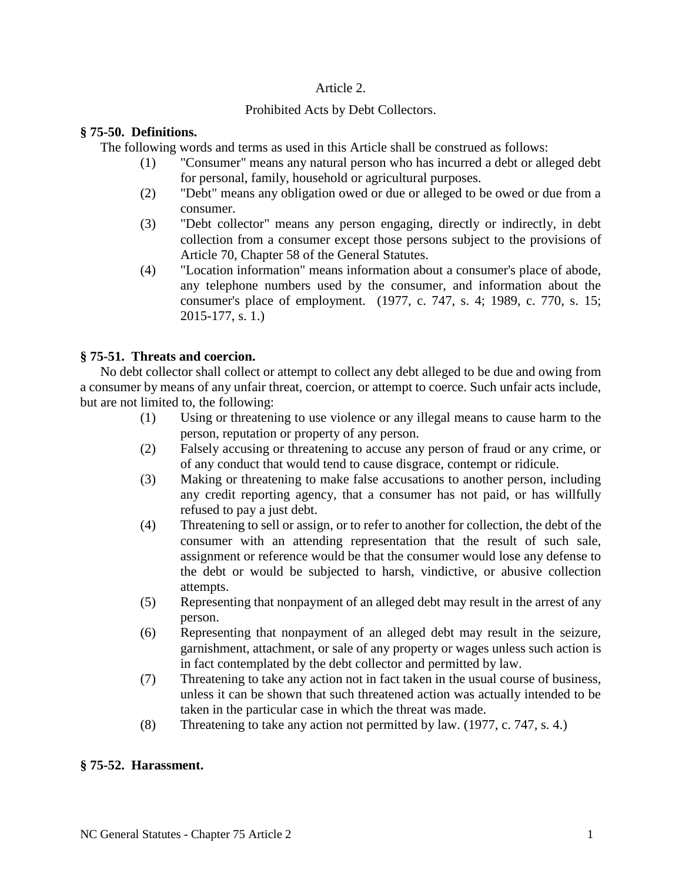### Article 2.

## Prohibited Acts by Debt Collectors.

### **§ 75-50. Definitions.**

The following words and terms as used in this Article shall be construed as follows:

- (1) "Consumer" means any natural person who has incurred a debt or alleged debt for personal, family, household or agricultural purposes.
- (2) "Debt" means any obligation owed or due or alleged to be owed or due from a consumer.
- (3) "Debt collector" means any person engaging, directly or indirectly, in debt collection from a consumer except those persons subject to the provisions of Article 70, Chapter 58 of the General Statutes.
- (4) "Location information" means information about a consumer's place of abode, any telephone numbers used by the consumer, and information about the consumer's place of employment. (1977, c. 747, s. 4; 1989, c. 770, s. 15; 2015-177, s. 1.)

## **§ 75-51. Threats and coercion.**

No debt collector shall collect or attempt to collect any debt alleged to be due and owing from a consumer by means of any unfair threat, coercion, or attempt to coerce. Such unfair acts include, but are not limited to, the following:

- (1) Using or threatening to use violence or any illegal means to cause harm to the person, reputation or property of any person.
- (2) Falsely accusing or threatening to accuse any person of fraud or any crime, or of any conduct that would tend to cause disgrace, contempt or ridicule.
- (3) Making or threatening to make false accusations to another person, including any credit reporting agency, that a consumer has not paid, or has willfully refused to pay a just debt.
- (4) Threatening to sell or assign, or to refer to another for collection, the debt of the consumer with an attending representation that the result of such sale, assignment or reference would be that the consumer would lose any defense to the debt or would be subjected to harsh, vindictive, or abusive collection attempts.
- (5) Representing that nonpayment of an alleged debt may result in the arrest of any person.
- (6) Representing that nonpayment of an alleged debt may result in the seizure, garnishment, attachment, or sale of any property or wages unless such action is in fact contemplated by the debt collector and permitted by law.
- (7) Threatening to take any action not in fact taken in the usual course of business, unless it can be shown that such threatened action was actually intended to be taken in the particular case in which the threat was made.
- (8) Threatening to take any action not permitted by law. (1977, c. 747, s. 4.)

# **§ 75-52. Harassment.**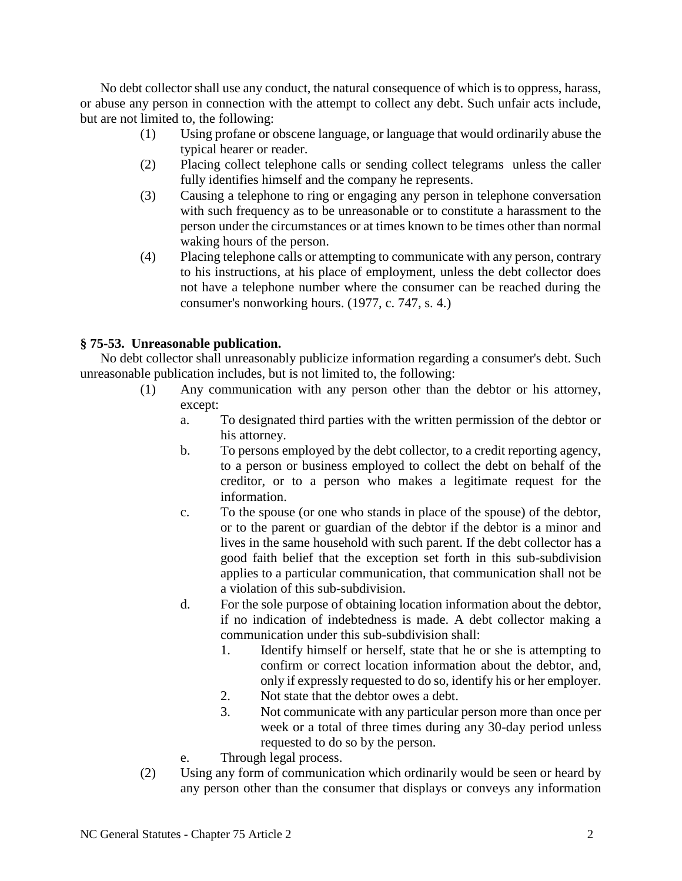No debt collector shall use any conduct, the natural consequence of which is to oppress, harass, or abuse any person in connection with the attempt to collect any debt. Such unfair acts include, but are not limited to, the following:

- (1) Using profane or obscene language, or language that would ordinarily abuse the typical hearer or reader.
- (2) Placing collect telephone calls or sending collect telegrams unless the caller fully identifies himself and the company he represents.
- (3) Causing a telephone to ring or engaging any person in telephone conversation with such frequency as to be unreasonable or to constitute a harassment to the person under the circumstances or at times known to be times other than normal waking hours of the person.
- (4) Placing telephone calls or attempting to communicate with any person, contrary to his instructions, at his place of employment, unless the debt collector does not have a telephone number where the consumer can be reached during the consumer's nonworking hours. (1977, c. 747, s. 4.)

# **§ 75-53. Unreasonable publication.**

No debt collector shall unreasonably publicize information regarding a consumer's debt. Such unreasonable publication includes, but is not limited to, the following:

- (1) Any communication with any person other than the debtor or his attorney, except:
	- a. To designated third parties with the written permission of the debtor or his attorney.
	- b. To persons employed by the debt collector, to a credit reporting agency, to a person or business employed to collect the debt on behalf of the creditor, or to a person who makes a legitimate request for the information.
	- c. To the spouse (or one who stands in place of the spouse) of the debtor, or to the parent or guardian of the debtor if the debtor is a minor and lives in the same household with such parent. If the debt collector has a good faith belief that the exception set forth in this sub-subdivision applies to a particular communication, that communication shall not be a violation of this sub-subdivision.
	- d. For the sole purpose of obtaining location information about the debtor, if no indication of indebtedness is made. A debt collector making a communication under this sub-subdivision shall:
		- 1. Identify himself or herself, state that he or she is attempting to confirm or correct location information about the debtor, and, only if expressly requested to do so, identify his or her employer.
		- 2. Not state that the debtor owes a debt.
		- 3. Not communicate with any particular person more than once per week or a total of three times during any 30-day period unless requested to do so by the person.
	- e. Through legal process.
- (2) Using any form of communication which ordinarily would be seen or heard by any person other than the consumer that displays or conveys any information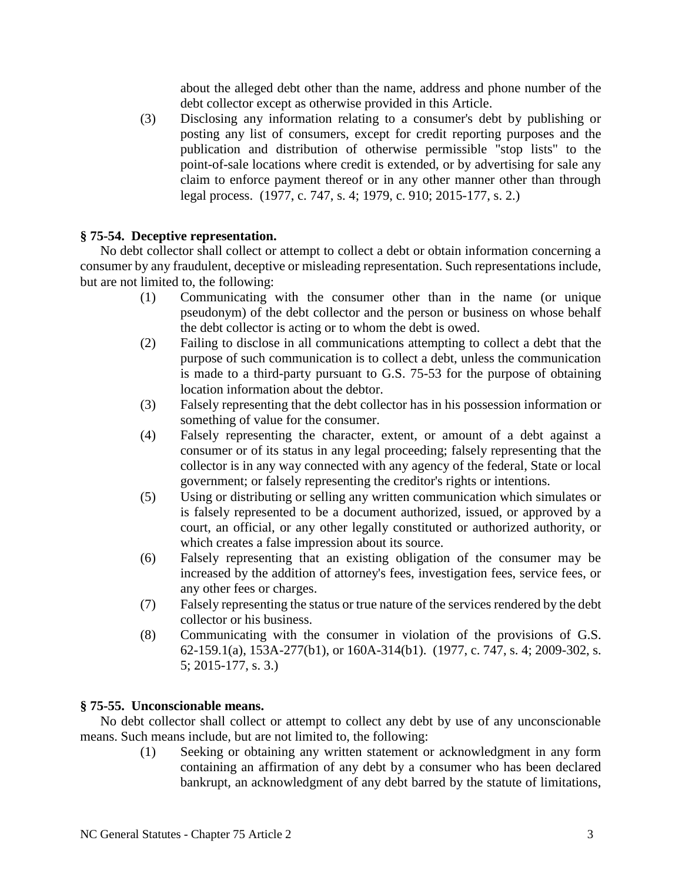about the alleged debt other than the name, address and phone number of the debt collector except as otherwise provided in this Article.

(3) Disclosing any information relating to a consumer's debt by publishing or posting any list of consumers, except for credit reporting purposes and the publication and distribution of otherwise permissible "stop lists" to the point-of-sale locations where credit is extended, or by advertising for sale any claim to enforce payment thereof or in any other manner other than through legal process. (1977, c. 747, s. 4; 1979, c. 910; 2015-177, s. 2.)

## **§ 75-54. Deceptive representation.**

No debt collector shall collect or attempt to collect a debt or obtain information concerning a consumer by any fraudulent, deceptive or misleading representation. Such representations include, but are not limited to, the following:

- (1) Communicating with the consumer other than in the name (or unique pseudonym) of the debt collector and the person or business on whose behalf the debt collector is acting or to whom the debt is owed.
- (2) Failing to disclose in all communications attempting to collect a debt that the purpose of such communication is to collect a debt, unless the communication is made to a third-party pursuant to G.S. 75-53 for the purpose of obtaining location information about the debtor.
- (3) Falsely representing that the debt collector has in his possession information or something of value for the consumer.
- (4) Falsely representing the character, extent, or amount of a debt against a consumer or of its status in any legal proceeding; falsely representing that the collector is in any way connected with any agency of the federal, State or local government; or falsely representing the creditor's rights or intentions.
- (5) Using or distributing or selling any written communication which simulates or is falsely represented to be a document authorized, issued, or approved by a court, an official, or any other legally constituted or authorized authority, or which creates a false impression about its source.
- (6) Falsely representing that an existing obligation of the consumer may be increased by the addition of attorney's fees, investigation fees, service fees, or any other fees or charges.
- (7) Falsely representing the status or true nature of the services rendered by the debt collector or his business.
- (8) Communicating with the consumer in violation of the provisions of G.S. 62-159.1(a), 153A-277(b1), or 160A-314(b1). (1977, c. 747, s. 4; 2009-302, s. 5; 2015-177, s. 3.)

### **§ 75-55. Unconscionable means.**

No debt collector shall collect or attempt to collect any debt by use of any unconscionable means. Such means include, but are not limited to, the following:

(1) Seeking or obtaining any written statement or acknowledgment in any form containing an affirmation of any debt by a consumer who has been declared bankrupt, an acknowledgment of any debt barred by the statute of limitations,